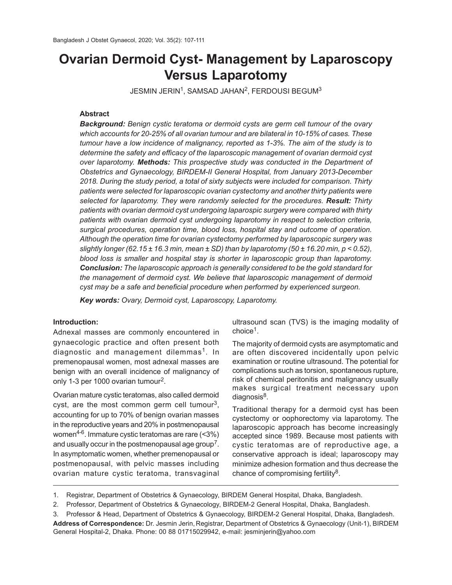# **Ovarian Dermoid Cyst- Management by Laparoscopy Versus Laparotomy**

JESMIN JERIN $^1$ , SAMSAD JAHAN $^2$ , FERDOUSI BEGUM $^3$ 

# **Abstract**

*Background: Benign cystic teratoma or dermoid cysts are germ cell tumour of the ovary which accounts for 20-25% of all ovarian tumour and are bilateral in 10-15% of cases. These tumour have a low incidence of malignancy, reported as 1-3%. The aim of the study is to determine the safety and efficacy of the laparoscopic management of ovarian dermoid cyst over laparotomy. Methods: This prospective study was conducted in the Department of Obstetrics and Gynaecology, BIRDEM-II General Hospital, from January 2013-December 2018. During the study period, a total of sixty subjects were included for comparison. Thirty patients were selected for laparoscopic ovarian cystectomy and another thirty patients were selected for laparotomy. They were randomly selected for the procedures. Result: Thirty patients with ovarian dermoid cyst undergoing laparospic surgery were compared with thirty patients with ovarian dermoid cyst undergoing laparotomy in respect to selection criteria, surgical procedures, operation time, blood loss, hospital stay and outcome of operation. Although the operation time for ovarian cystectomy performed by laparoscopic surgery was slightly longer (62.15 ± 16.3 min, mean ± SD) than by laparotomy (50 ± 16.20 min, p < 0.52), blood loss is smaller and hospital stay is shorter in laparoscopic group than laparotomy. Conclusion: The laparoscopic approach is generally considered to be the gold standard for the management of dermoid cyst. We believe that laparoscopic management of dermoid cyst may be a safe and beneficial procedure when performed by experienced surgeon.*

*Key words: Ovary, Dermoid cyst, Laparoscopy, Laparotomy.*

### **Introduction:**

Adnexal masses are commonly encountered in gynaecologic practice and often present both diagnostic and management dilemmas<sup>1</sup>. In premenopausal women, most adnexal masses are benign with an overall incidence of malignancy of only 1-3 per 1000 ovarian tumour $^2$ .

Ovarian mature cystic teratomas, also called dermoid cyst, are the most common germ cell tumour<sup>3</sup>, accounting for up to 70% of benign ovarian masses in the reproductive years and 20% in postmenopausal women4-6. Immature cystic teratomas are rare (<3%) and usually occur in the postmenopausal age group $^7$ . In asymptomatic women, whether premenopausal or postmenopausal, with pelvic masses including ovarian mature cystic teratoma, transvaginal

ultrasound scan (TVS) is the imaging modality of choice<sup>1</sup> .

The majority of dermoid cysts are asymptomatic and are often discovered incidentally upon pelvic examination or routine ultrasound. The potential for complications such as torsion, spontaneous rupture, risk of chemical peritonitis and malignancy usually makes surgical treatment necessary upon diagnosis<sup>8</sup>.

Traditional therapy for a dermoid cyst has been cystectomy or oophorectomy via laparotomy. The laparoscopic approach has become increasingly accepted since 1989. Because most patients with cystic teratomas are of reproductive age, a conservative approach is ideal; laparoscopy may minimize adhesion formation and thus decrease the chance of compromising fertility<sup>8</sup>.

<sup>1.</sup> Registrar, Department of Obstetrics & Gynaecology, BIRDEM General Hospital, Dhaka, Bangladesh.

<sup>2.</sup> Professor, Department of Obstetrics & Gynaecology, BIRDEM-2 General Hospital, Dhaka, Bangladesh.

<sup>3.</sup> Professor & Head, Department of Obstetrics & Gynaecology, BIRDEM-2 General Hospital, Dhaka, Bangladesh. **Address of Correspondence:** Dr. Jesmin Jerin, Registrar, Department of Obstetrics & Gynaecology (Unit-1), BIRDEM General Hospital-2, Dhaka. Phone: 00 88 01715029942, e-mail: jesminjerin@yahoo.com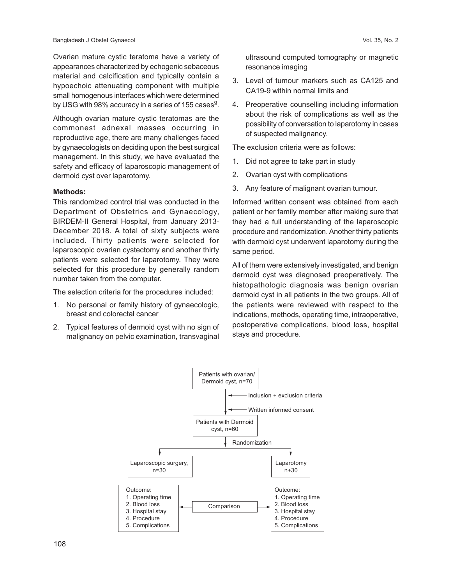Ovarian mature cystic teratoma have a variety of appearances characterized by echogenic sebaceous material and calcification and typically contain a hypoechoic attenuating component with multiple small homogenous interfaces which were determined by USG with 98% accuracy in a series of 155 cases $^9$ .

Although ovarian mature cystic teratomas are the commonest adnexal masses occurring in reproductive age, there are many challenges faced by gynaecologists on deciding upon the best surgical management. In this study, we have evaluated the safety and efficacy of laparoscopic management of dermoid cyst over laparotomy.

### **Methods:**

This randomized control trial was conducted in the Department of Obstetrics and Gynaecology, BIRDEM-II General Hospital, from January 2013- December 2018. A total of sixty subjects were included. Thirty patients were selected for laparoscopic ovarian cystectomy and another thirty patients were selected for laparotomy. They were selected for this procedure by generally random number taken from the computer.

The selection criteria for the procedures included:

- 1. No personal or family history of gynaecologic, breast and colorectal cancer
- 2. Typical features of dermoid cyst with no sign of malignancy on pelvic examination, transvaginal

ultrasound computed tomography or magnetic resonance imaging

- 3. Level of tumour markers such as CA125 and CA19-9 within normal limits and
- 4. Preoperative counselling including information about the risk of complications as well as the possibility of conversation to laparotomy in cases of suspected malignancy.

The exclusion criteria were as follows:

- 1. Did not agree to take part in study
- 2. Ovarian cyst with complications
- 3. Any feature of malignant ovarian tumour.

Informed written consent was obtained from each patient or her family member after making sure that they had a full understanding of the laparoscopic procedure and randomization. Another thirty patients with dermoid cyst underwent laparotomy during the same period.

All of them were extensively investigated, and benign dermoid cyst was diagnosed preoperatively. The histopathologic diagnosis was benign ovarian dermoid cyst in all patients in the two groups. All of the patients were reviewed with respect to the indications, methods, operating time, intraoperative, postoperative complications, blood loss, hospital stays and procedure.

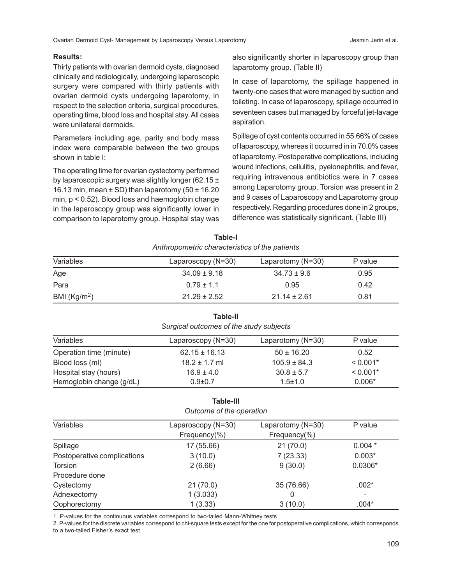Ovarian Dermoid Cyst- Management by Laparoscopy Versus Laparotomy and all and the service of al.

# **Results:**

Thirty patients with ovarian dermoid cysts, diagnosed clinically and radiologically, undergoing laparoscopic surgery were compared with thirty patients with ovarian dermoid cysts undergoing laparotomy, in respect to the selection criteria, surgical procedures, operating time, blood loss and hospital stay. All cases were unilateral dermoids.

Parameters including age, parity and body mass index were comparable between the two groups shown in table I:

The operating time for ovarian cystectomy performed by laparoscopic surgery was slightly longer (62.15 ± 16.13 min, mean  $\pm$  SD) than laparotomy (50  $\pm$  16.20 min, p < 0.52). Blood loss and haemoglobin change in the laparoscopy group was significantly lower in comparison to laparotomy group. Hospital stay was

also significantly shorter in laparoscopy group than laparotomy group. (Table II)

In case of laparotomy, the spillage happened in twenty-one cases that were managed by suction and toileting. In case of laparoscopy, spillage occurred in seventeen cases but managed by forceful jet-lavage aspiration.

Spillage of cyst contents occurred in 55.66% of cases of laparoscopy, whereas it occurred in in 70.0% cases of laparotomy. Postoperative complications, including wound infections, cellulitis, pyelonephritis, and fever, requiring intravenous antibiotics were in 7 cases among Laparotomy group. Torsion was present in 2 and 9 cases of Laparoscopy and Laparotomy group respectively. Regarding procedures done in 2 groups, difference was statistically significant. (Table III)

| Anthropometric characteristics of the patients |                    |                   |         |  |  |
|------------------------------------------------|--------------------|-------------------|---------|--|--|
| Variables                                      | Laparoscopy (N=30) | Laparotomy (N=30) | P value |  |  |
| Age                                            | $34.09 \pm 9.18$   | $34.73 \pm 9.6$   | 0.95    |  |  |
| Para                                           | $0.79 \pm 1.1$     | 0.95              | 0.42    |  |  |
| BMI $(Kg/m2)$                                  | $21.29 \pm 2.52$   | $21.14 \pm 2.61$  | 0.81    |  |  |

**Table-I**

# *Anthropometric characteristics of the patients*

# **Table-II**

|  | Surgical outcomes of the study subjects |  |  |
|--|-----------------------------------------|--|--|
|--|-----------------------------------------|--|--|

| Variables                | Laparoscopy (N=30) | Laparotomy $(N=30)$ | P value    |
|--------------------------|--------------------|---------------------|------------|
| Operation time (minute)  | $62.15 \pm 16.13$  | $50 \pm 16.20$      | 0.52       |
| Blood loss (ml)          | $18.2 \pm 1.7$ ml  | $105.9 \pm 84.3$    | $< 0.001*$ |
| Hospital stay (hours)    | $16.9 \pm 4.0$     | $30.8 \pm 5.7$      | $< 0.001*$ |
| Hemoglobin change (g/dL) | $0.9 + 0.7$        | $1.5 + 1.0$         | $0.006*$   |

#### **Table-III** *Outcome of the operation*

| <i>Outcome of the operation</i> |                    |                   |                          |  |  |  |
|---------------------------------|--------------------|-------------------|--------------------------|--|--|--|
| Variables                       | Laparoscopy (N=30) | Laparotomy (N=30) | P value                  |  |  |  |
|                                 | Frequency(%)       | Frequency(%)      |                          |  |  |  |
| Spillage                        | 17 (55.66)         | 21(70.0)          | $0.004*$                 |  |  |  |
| Postoperative complications     | 3(10.0)            | 7(23.33)          | $0.003*$                 |  |  |  |
| Torsion                         | 2(6.66)            | 9(30.0)           | $0.0306*$                |  |  |  |
| Procedure done                  |                    |                   |                          |  |  |  |
| Cystectomy                      | 21(70.0)           | 35 (76.66)        | $.002*$                  |  |  |  |
| Adnexectomy                     | 1(3.033)           | 0                 | $\overline{\phantom{0}}$ |  |  |  |
| Oophorectomy                    | 1(3.33)            | 3(10.0)           | $.004*$                  |  |  |  |

1. P-values for the continuous variables correspond to two-tailed Mann-Whitney tests

2. P-values for the discrete variables correspond to chi-square tests except for the one for postoperative complications, which corresponds to a two-tailed Fisher's exact test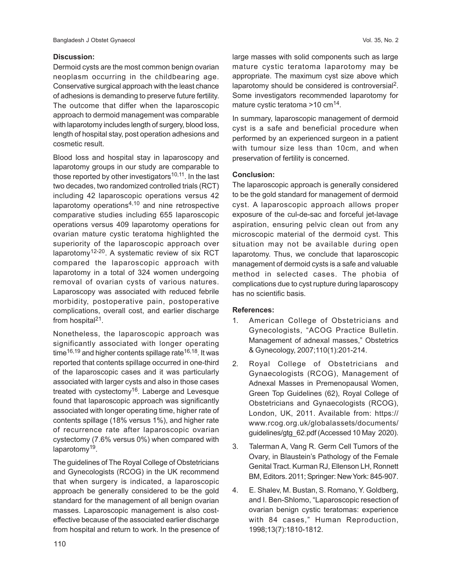## **Discussion:**

Dermoid cysts are the most common benign ovarian neoplasm occurring in the childbearing age. Conservative surgical approach with the least chance of adhesions is demanding to preserve future fertility. The outcome that differ when the laparoscopic approach to dermoid management was comparable with laparotomy includes length of surgery, blood loss, length of hospital stay, post operation adhesions and cosmetic result.

Blood loss and hospital stay in laparoscopy and laparotomy groups in our study are comparable to those reported by other investigators<sup>10,11</sup>. In the last two decades, two randomized controlled trials (RCT) including 42 laparoscopic operations versus 42 laparotomy operations<sup>4,10</sup> and nine retrospective comparative studies including 655 laparoscopic operations versus 409 laparotomy operations for ovarian mature cystic teratoma highlighted the superiority of the laparoscopic approach over laparotomy<sup>12-20</sup>. A systematic review of six RCT compared the laparoscopic approach with laparotomy in a total of 324 women undergoing removal of ovarian cysts of various natures. Laparoscopy was associated with reduced febrile morbidity, postoperative pain, postoperative complications, overall cost, and earlier discharge from hospital $21$ .

Nonetheless, the laparoscopic approach was significantly associated with longer operating time<sup>16,19</sup> and higher contents spillage rate<sup>16,18</sup>. It was reported that contents spillage occurred in one-third of the laparoscopic cases and it was particularly associated with larger cysts and also in those cases treated with cystectomy<sup>16</sup>. Laberge and Levesque found that laparoscopic approach was significantly associated with longer operating time, higher rate of contents spillage (18% versus 1%), and higher rate of recurrence rate after laparoscopic ovarian cystectomy (7.6% versus 0%) when compared with laparotomy<sup>19</sup>.

The guidelines of The Royal College of Obstetricians and Gynecologists (RCOG) in the UK recommend that when surgery is indicated, a laparoscopic approach be generally considered to be the gold standard for the management of all benign ovarian masses. Laparoscopic management is also costeffective because of the associated earlier discharge from hospital and return to work. In the presence of large masses with solid components such as large mature cystic teratoma laparotomy may be appropriate. The maximum cyst size above which laparotomy should be considered is controversial<sup>2</sup>. Some investigators recommended laparotomy for mature cystic teratoma >10 cm<sup>14</sup>.

In summary, laparoscopic management of dermoid cyst is a safe and beneficial procedure when performed by an experienced surgeon in a patient with tumour size less than 10cm, and when preservation of fertility is concerned.

# **Conclusion:**

The laparoscopic approach is generally considered to be the gold standard for management of dermoid cyst. A laparoscopic approach allows proper exposure of the cul-de-sac and forceful jet-lavage aspiration, ensuring pelvic clean out from any microscopic material of the dermoid cyst. This situation may not be available during open laparotomy. Thus, we conclude that laparoscopic management of dermoid cysts is a safe and valuable method in selected cases. The phobia of complications due to cyst rupture during laparoscopy has no scientific basis.

# **References:**

- 1. American College of Obstetricians and Gynecologists, "ACOG Practice Bulletin. Management of adnexal masses," Obstetrics & Gynecology, 2007;110(1):201-214.
- 2. Royal College of Obstetricians and Gynaecologists (RCOG), Management of Adnexal Masses in Premenopausal Women, Green Top Guidelines (62), Royal College of Obstetricians and Gynaecologists (RCOG), London, UK, 2011. Available from: https:// www.rcog.org.uk/globalassets/documents/ guidelines/gtg\_62.pdf (Accessed 10 May 2020).
- 3. Talerman A, Vang R. Germ Cell Tumors of the Ovary, in Blaustein's Pathology of the Female Genital Tract. Kurman RJ, Ellenson LH, Ronnett BM, Editors. 2011; Springer: New York: 845-907.
- 4. E. Shalev, M. Bustan, S. Romano, Y. Goldberg, and I. Ben-Shlomo, "Laparoscopic resection of ovarian benign cystic teratomas: experience with 84 cases," Human Reproduction, 1998;13(7):1810-1812.